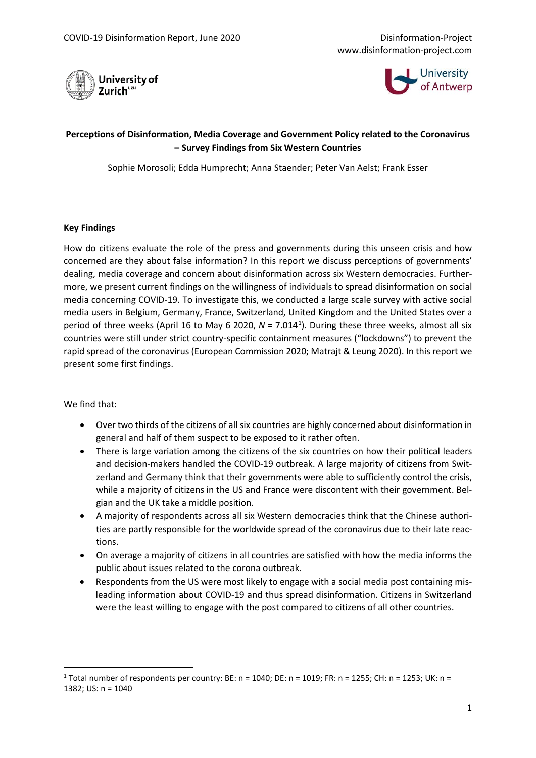



# **Perceptions of Disinformation, Media Coverage and Government Policy related to the Coronavirus – Survey Findings from Six Western Countries**

Sophie Morosoli; Edda Humprecht; Anna Staender; Peter Van Aelst; Frank Esser

### **Key Findings**

How do citizens evaluate the role of the press and governments during this unseen crisis and how concerned are they about false information? In this report we discuss perceptions of governments' dealing, media coverage and concern about disinformation across six Western democracies. Furthermore, we present current findings on the willingness of individuals to spread disinformation on social media concerning COVID-19. To investigate this, we conducted a large scale survey with active social media users in Belgium, Germany, France, Switzerland, United Kingdom and the United States over a period of three weeks (April [1](#page-0-0)6 to May 6 2020, N = 7.014<sup>1</sup>). During these three weeks, almost all six countries were still under strict country-specific containment measures ("lockdowns") to prevent the rapid spread of the coronavirus (European Commission 2020; Matrajt & Leung 2020). In this report we present some first findings.

We find that:

- Over two thirds of the citizens of all six countries are highly concerned about disinformation in general and half of them suspect to be exposed to it rather often.
- There is large variation among the citizens of the six countries on how their political leaders and decision-makers handled the COVID-19 outbreak. A large majority of citizens from Switzerland and Germany think that their governments were able to sufficiently control the crisis, while a majority of citizens in the US and France were discontent with their government. Belgian and the UK take a middle position.
- A majority of respondents across all six Western democracies think that the Chinese authorities are partly responsible for the worldwide spread of the coronavirus due to their late reactions.
- On average a majority of citizens in all countries are satisfied with how the media informs the public about issues related to the corona outbreak.
- Respondents from the US were most likely to engage with a social media post containing misleading information about COVID-19 and thus spread disinformation. Citizens in Switzerland were the least willing to engage with the post compared to citizens of all other countries.

<span id="page-0-0"></span><sup>1</sup> Total number of respondents per country: BE: n = 1040; DE: n = 1019; FR: n = 1255; CH: n = 1253; UK: n = 1382; US: n = 1040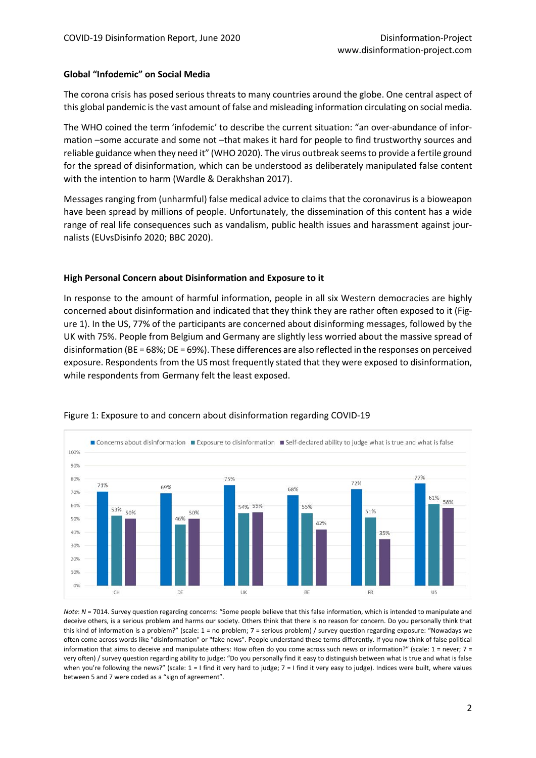## **Global "Infodemic" on Social Media**

The corona crisis has posed serious threats to many countries around the globe. One central aspect of this global pandemic is the vast amount of false and misleading information circulating on social media.

The WHO coined the term 'infodemic' to describe the current situation: "an over-abundance of information –some accurate and some not –that makes it hard for people to find trustworthy sources and reliable guidance when they need it" (WHO 2020). The virus outbreak seems to provide a fertile ground for the spread of disinformation, which can be understood as deliberately manipulated false content with the intention to harm (Wardle & Derakhshan 2017).

Messages ranging from (unharmful) false medical advice to claims that the coronavirus is a bioweapon have been spread by millions of people. Unfortunately, the dissemination of this content has a wide range of real life consequences such as vandalism, public health issues and harassment against journalists (EUvsDisinfo 2020; BBC 2020).

## **High Personal Concern about Disinformation and Exposure to it**

In response to the amount of harmful information, people in all six Western democracies are highly concerned about disinformation and indicated that they think they are rather often exposed to it (Figure 1). In the US, 77% of the participants are concerned about disinforming messages, followed by the UK with 75%. People from Belgium and Germany are slightly less worried about the massive spread of disinformation (BE = 68%; DE = 69%). These differences are also reflected in the responses on perceived exposure. Respondents from the US most frequently stated that they were exposed to disinformation, while respondents from Germany felt the least exposed.



### Figure 1: Exposure to and concern about disinformation regarding COVID-19

*Note*: *N* = 7014. Survey question regarding concerns: "Some people believe that this false information, which is intended to manipulate and deceive others, is a serious problem and harms our society. Others think that there is no reason for concern. Do you personally think that this kind of information is a problem?" (scale: 1 = no problem; 7 = serious problem) / survey question regarding exposure: "Nowadays we often come across words like "disinformation" or "fake news". People understand these terms differently. If you now think of false political information that aims to deceive and manipulate others: How often do you come across such news or information?" (scale:  $1 =$  never;  $7 =$ very often) / survey question regarding ability to judge: "Do you personally find it easy to distinguish between what is true and what is false when you're following the news?" (scale: 1 = I find it very hard to judge; 7 = I find it very easy to judge). Indices were built, where values between 5 and 7 were coded as a "sign of agreement".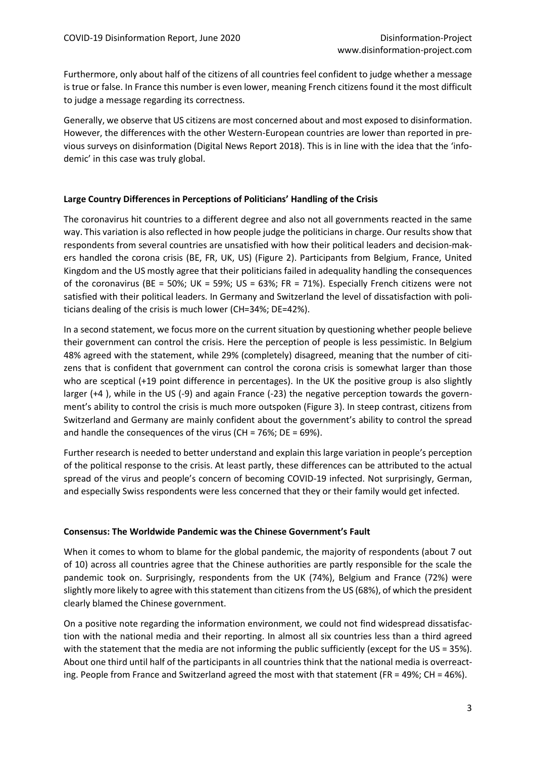Furthermore, only about half of the citizens of all countries feel confident to judge whether a message is true or false. In France this number is even lower, meaning French citizens found it the most difficult to judge a message regarding its correctness.

Generally, we observe that US citizens are most concerned about and most exposed to disinformation. However, the differences with the other Western-European countries are lower than reported in previous surveys on disinformation (Digital News Report 2018). This is in line with the idea that the 'infodemic' in this case was truly global.

## **Large Country Differences in Perceptions of Politicians' Handling of the Crisis**

The coronavirus hit countries to a different degree and also not all governments reacted in the same way. This variation is also reflected in how people judge the politicians in charge. Our results show that respondents from several countries are unsatisfied with how their political leaders and decision-makers handled the corona crisis (BE, FR, UK, US) (Figure 2). Participants from Belgium, France, United Kingdom and the US mostly agree that their politicians failed in adequality handling the consequences of the coronavirus (BE = 50%; UK = 59%; US = 63%; FR = 71%). Especially French citizens were not satisfied with their political leaders. In Germany and Switzerland the level of dissatisfaction with politicians dealing of the crisis is much lower (CH=34%; DE=42%).

In a second statement, we focus more on the current situation by questioning whether people believe their government can control the crisis. Here the perception of people is less pessimistic. In Belgium 48% agreed with the statement, while 29% (completely) disagreed, meaning that the number of citizens that is confident that government can control the corona crisis is somewhat larger than those who are sceptical (+19 point difference in percentages). In the UK the positive group is also slightly larger (+4 ), while in the US (-9) and again France (-23) the negative perception towards the government's ability to control the crisis is much more outspoken (Figure 3). In steep contrast, citizens from Switzerland and Germany are mainly confident about the government's ability to control the spread and handle the consequences of the virus (CH = 76%; DE = 69%).

Further research is needed to better understand and explain this large variation in people's perception of the political response to the crisis. At least partly, these differences can be attributed to the actual spread of the virus and people's concern of becoming COVID-19 infected. Not surprisingly, German, and especially Swiss respondents were less concerned that they or their family would get infected.

### **Consensus: The Worldwide Pandemic was the Chinese Government's Fault**

When it comes to whom to blame for the global pandemic, the majority of respondents (about 7 out of 10) across all countries agree that the Chinese authorities are partly responsible for the scale the pandemic took on. Surprisingly, respondents from the UK (74%), Belgium and France (72%) were slightly more likely to agree with this statement than citizens from the US (68%), of which the president clearly blamed the Chinese government.

On a positive note regarding the information environment, we could not find widespread dissatisfaction with the national media and their reporting. In almost all six countries less than a third agreed with the statement that the media are not informing the public sufficiently (except for the US = 35%). About one third until half of the participants in all countries think that the national media is overreacting. People from France and Switzerland agreed the most with that statement (FR = 49%; CH = 46%).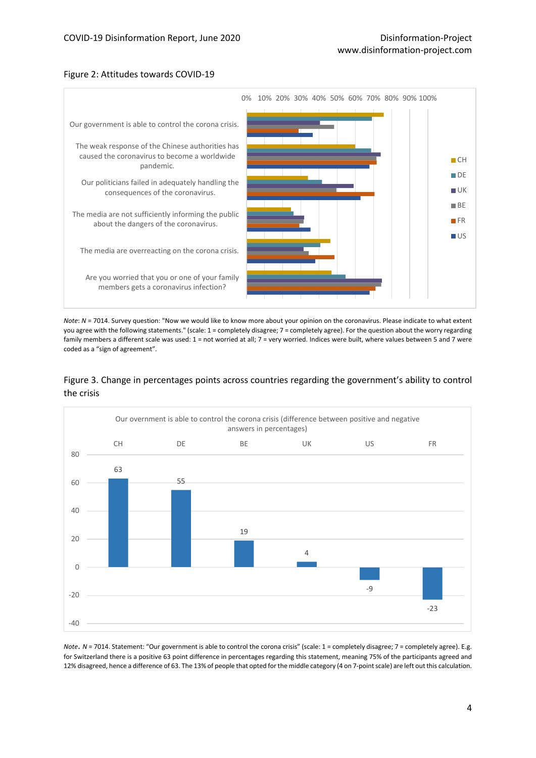#### Figure 2: Attitudes towards COVID-19



*Note*: *N* = 7014. Survey question: "Now we would like to know more about your opinion on the coronavirus. Please indicate to what extent you agree with the following statements." (scale: 1 = completely disagree; 7 = completely agree). For the question about the worry regarding family members a different scale was used: 1 = not worried at all; 7 = very worried. Indices were built, where values between 5 and 7 were coded as a "sign of agreement".





*Note*. *N* = 7014. Statement: "Our government is able to control the corona crisis" (scale: 1 = completely disagree; 7 = completely agree). E.g. for Switzerland there is a positive 63 point difference in percentages regarding this statement, meaning 75% of the participants agreed and 12% disagreed, hence a difference of 63. The 13% of people that opted for the middle category (4 on 7-point scale) are left out this calculation.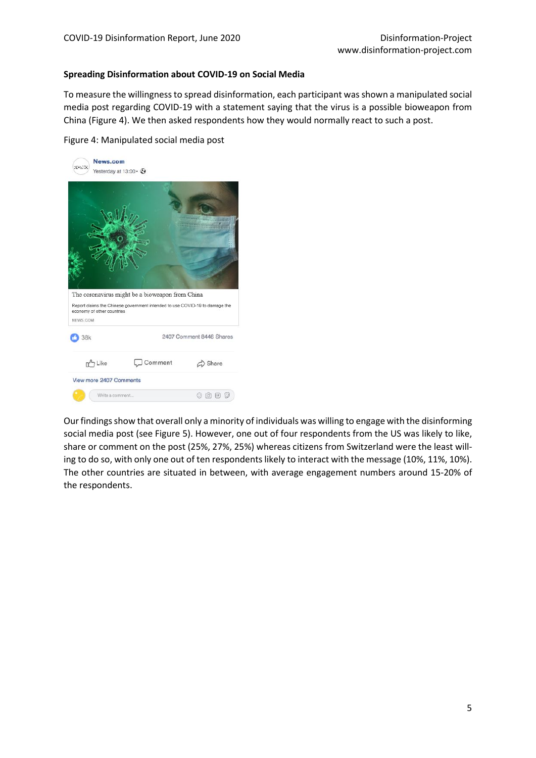### **Spreading Disinformation about COVID-19 on Social Media**

To measure the willingness to spread disinformation, each participant was shown a manipulated social media post regarding COVID-19 with a statement saying that the virus is a possible bioweapon from China (Figure 4). We then asked respondents how they would normally react to such a post.

Figure 4: Manipulated social media post

| News.com<br>SDANCO<br>Yesterday at 13:00 · 2 |                                                                                                                                |                         |
|----------------------------------------------|--------------------------------------------------------------------------------------------------------------------------------|-------------------------|
|                                              |                                                                                                                                |                         |
|                                              | The coronavirus might be a bioweapon from China<br>Report claims the Chinese government intended to use COVID-19 to damage the |                         |
| economy of other countries<br>NEWS COM       |                                                                                                                                |                         |
| 38k                                          | 2407 Comment 8446 Shares                                                                                                       |                         |
| 7 Like                                       | Comment                                                                                                                        | Share                   |
| View more 2407 Comments                      |                                                                                                                                |                         |
| Write a comment                              |                                                                                                                                | $\lceil c \rceil$<br>CF |

Our findings show that overall only a minority of individuals was willing to engage with the disinforming social media post (see Figure 5). However, one out of four respondents from the US was likely to like, share or comment on the post (25%, 27%, 25%) whereas citizens from Switzerland were the least willing to do so, with only one out of ten respondents likely to interact with the message (10%, 11%, 10%). The other countries are situated in between, with average engagement numbers around 15-20% of the respondents.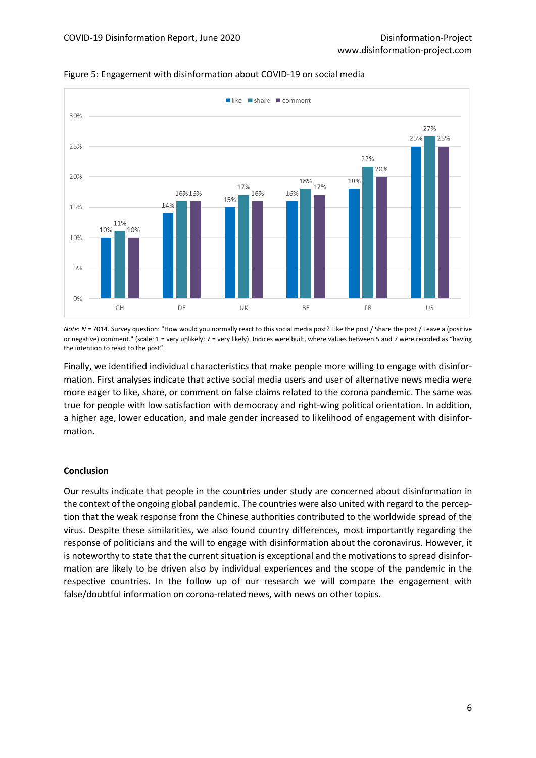

Figure 5: Engagement with disinformation about COVID-19 on social media

*Note*: *N* = 7014. Survey question: "How would you normally react to this social media post? Like the post / Share the post / Leave a (positive or negative) comment." (scale: 1 = very unlikely; 7 = very likely). Indices were built, where values between 5 and 7 were recoded as "having the intention to react to the post".

Finally, we identified individual characteristics that make people more willing to engage with disinformation. First analyses indicate that active social media users and user of alternative news media were more eager to like, share, or comment on false claims related to the corona pandemic. The same was true for people with low satisfaction with democracy and right-wing political orientation. In addition, a higher age, lower education, and male gender increased to likelihood of engagement with disinformation.

### **Conclusion**

Our results indicate that people in the countries under study are concerned about disinformation in the context of the ongoing global pandemic. The countries were also united with regard to the perception that the weak response from the Chinese authorities contributed to the worldwide spread of the virus. Despite these similarities, we also found country differences, most importantly regarding the response of politicians and the will to engage with disinformation about the coronavirus. However, it is noteworthy to state that the current situation is exceptional and the motivations to spread disinformation are likely to be driven also by individual experiences and the scope of the pandemic in the respective countries. In the follow up of our research we will compare the engagement with false/doubtful information on corona-related news, with news on other topics.